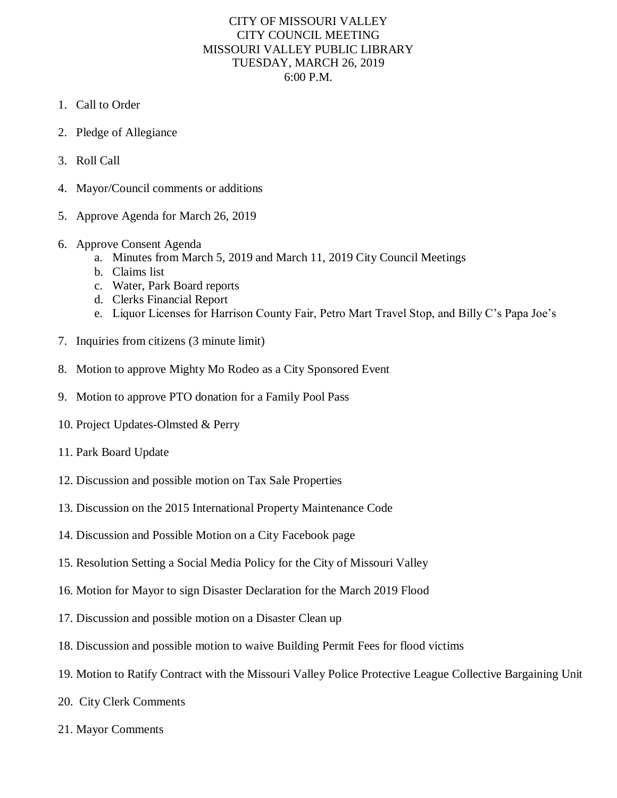## CITY OF MISSOURI VALLEY CITY COUNCIL MEETING MISSOURI VALLEY PUBLIC LIBRARY TUESDAY, MARCH 26, 2019 6:00 P.M.

- 1. Call to Order
- 2. Pledge of Allegiance
- 3. Roll Call
- 4. Mayor/Council comments or additions
- 5. Approve Agenda for March 26, 2019
- 6. Approve Consent Agenda
	- a. Minutes from March 5, 2019 and March 11, 2019 City Council Meetings
	- b. Claims list
	- c. Water, Park Board reports
	- d. Clerks Financial Report
	- e. Liquor Licenses for Harrison County Fair, Petro Mart Travel Stop, and Billy C's Papa Joe's
- 7. Inquiries from citizens (3 minute limit)
- 8. Motion to approve Mighty Mo Rodeo as a City Sponsored Event
- 9. Motion to approve PTO donation for a Family Pool Pass
- 10. Project Updates-Olmsted & Perry
- 11. Park Board Update
- 12. Discussion and possible motion on Tax Sale Properties
- 13. Discussion on the 2015 International Property Maintenance Code
- 14. Discussion and Possible Motion on a City Facebook page
- 15. Resolution Setting a Social Media Policy for the City of Missouri Valley
- 16. Motion for Mayor to sign Disaster Declaration for the March 2019 Flood
- 17. Discussion and possible motion on a Disaster Clean up
- 18. Discussion and possible motion to waive Building Permit Fees for flood victims
- 19. Motion to Ratify Contract with the Missouri Valley Police Protective League Collective Bargaining Unit
- 20. City Clerk Comments
- 21. Mayor Comments